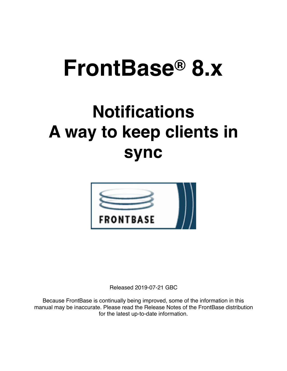# **FrontBase® 8.x**

## **Notifications A way to keep clients in sync**



Released 2019-07-21 GBC

Because FrontBase is continually being improved, some of the information in this manual may be inaccurate. Please read the Release Notes of the FrontBase distribution for the latest up-to-date information.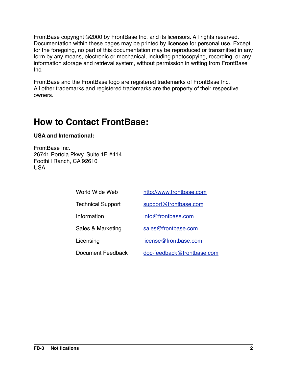FrontBase copyright ©2000 by FrontBase Inc. and its licensors. All rights reserved. Documentation within these pages may be printed by licensee for personal use. Except for the foregoing, no part of this documentation may be reproduced or transmitted in any form by any means, electronic or mechanical, including photocopying, recording, or any information storage and retrieval system, without permission in writing from FrontBase Inc.

FrontBase and the FrontBase logo are registered trademarks of FrontBase Inc. All other trademarks and registered trademarks are the property of their respective owners.

## **How to Contact FrontBase:**

#### **USA and International:**

FrontBase Inc. 26741 Portola Pkwy. Suite 1E #414 Foothill Ranch, CA 92610 USA

| http://www.frontbase.com   |
|----------------------------|
| support@frontbase.com      |
| info@frontbase.com         |
| sales@frontbase.com        |
| license@frontbase.com      |
| doc-feedback@frontbase.com |
|                            |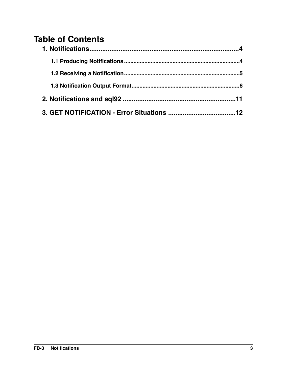## **Table of Contents**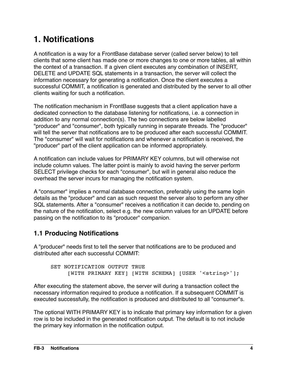## <span id="page-3-0"></span>**1. Notifications**

A notification is a way for a FrontBase database server (called server below) to tell clients that some client has made one or more changes to one or more tables, all within the context of a transaction. If a given client executes any combination of INSERT, DELETE and UPDATE SQL statements in a transaction, the server will collect the information necessary for generating a notification. Once the client executes a successful COMMIT, a notification is generated and distributed by the server to all other clients waiting for such a notification.

The notification mechanism in FrontBase suggests that a client application have a dedicated connection to the database listening for notifications, i.e. a connection in addition to any normal connection(s). The two connections are below labelled "producer" and "consumer", both typically running in separate threads. The "producer" will tell the server that notifications are to be produced after each successful COMMIT. The "consumer" will wait for notifications and whenever a notification is received, the "producer" part of the client application can be informed appropriately.

A notification can include values for PRIMARY KEY columns, but will otherwise not include column values. The latter point is mainly to avoid having the server perform SELECT privilege checks for each "consumer", but will in general also reduce the overhead the server incurs for managing the notification system.

A "consumer" implies a normal database connection, preferably using the same login details as the "producer" and can as such request the server also to perform any other SQL statements. After a "consumer" receives a notification it can decide to, pending on the nature of the notification, select e.g. the new column values for an UPDATE before passing on the notification to its "producer" companion.

#### <span id="page-3-1"></span>**1.1 Producing Notifications**

A "producer" needs first to tell the server that notifications are to be produced and distributed after each successful COMMIT:

```
SET NOTIFICATION OUTPUT TRUE
     [WITH PRIMARY KEY] [WITH SCHEMA] [USER '<string>'];
```
After executing the statement above, the server will during a transaction collect the necessary information required to produce a notification. If a subsequent COMMIT is executed successfully, the notification is produced and distributed to all "consumer"s.

The optional WITH PRIMARY KEY is to indicate that primary key information for a given row is to be included in the generated notification output. The default is to not include the primary key information in the notification output.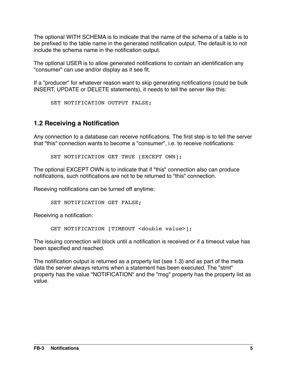The optional WITH SCHEMA is to indicate that the name of the schema of a table is to be prefixed to the table name in the generated notification output. The default is to not include the schema name in the notification output.

The optional USER is to allow generated notifications to contain an identification any "consumer" can use and/or display as it see fit.

If a "producer" for whatever reason want to skip generating notifications (could be bulk INSERT, UPDATE or DELETE statements), it needs to tell the server like this:

```
SET NOTIFICATION OUTPUT FALSE;
```
#### <span id="page-4-0"></span>**1.2 Receiving a Notification**

Any connection to a database can receive notifications. The first step is to tell the server that "this" connection wants to become a "consumer", i.e. to receive notifications:

SET NOTIFICATION GET TRUE [EXCEPT OWN];

The optional EXCEPT OWN is to indicate that if "this" connection also can produce notifications, such notifications are not to be returned to "this" connection.

Receving notifications can be turned off anytime:

SET NOTIFICATION GET FALSE;

Receiving a notification:

GET NOTIFICATION [TIMEOUT <double value>];

The issuing connection will block until a notification is received or if a timeout value has been specified and reached.

The notification output is returned as a property list (see 1.3) and as part of the meta data the server always returns when a statement has been executed. The "stmt" property has the value "NOTIFICATION" and the "msg" property has the property list as value.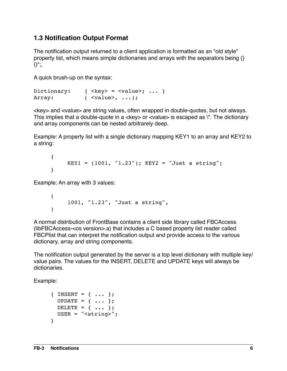#### <span id="page-5-0"></span>**1.3 Notification Output Format**

The notification output returned to a client application is formatted as an "old style" property list, which means simple dictionaries and arrays with the separators being {}  $()$ ";,

A quick brush-up on the syntax:

```
Dictionary: { \langle key \rangle = \langle value \rangle; ... }
Array: ( <value>, ...);
```
<key> and <value> are string values, often wrapped in double-quotes, but not always. This implies that a double-quote in a <key> or <value> is escaped as \". The dictionary and array components can be nested arbitrarely deep.

Example: A property list with a single dictionary mapping KEY1 to an array and KEY2 to a string:

```
{
    KEY1 = (1001, "1.23"); KEY2 = "Just a string";}
```
Example: An array with 3 values:

```
(
      1001, "1.23", "Just a string",
\lambda
```
A normal distribution of FrontBase contains a client side library called FBCAccess (libFBCAccess-<os version>.a) that includes a C based property list reader called FBCPlist that can interpret the notification output and provide access to the various dictionary, array and string components.

The notification output generated by the server is a top level dictionary with multiple key/ value pairs. The values for the INSERT, DELETE and UPDATE keys will always be dictionaries.

Example:

```
{ INSERT = { ... };
  UPDATE = \{ \ldots \};
  DELETE = \{ \ldots \};
   USER = "<string>";
}
```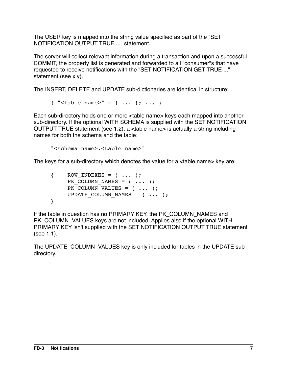The USER key is mapped into the string value specified as part of the "SET NOTIFICATION OUTPUT TRUE ..." statement.

The server will collect relevant information during a transaction and upon a successful COMMIT, the property list is generated and forwarded to all "consumer"s that have requested to receive notifications with the "SET NOTIFICATION GET TRUE ..." statement (see x.y).

The INSERT, DELETE and UPDATE sub-dictionaries are identical in structure:

{ "<table name>" = { ... }; ... }

Each sub-directory holds one or more <table name> keys each mapped into another sub-directory. If the optional WITH SCHEMA is supplied with the SET NOTIFICATION OUTPUT TRUE statement (see 1.2), a <table name> is actually a string including names for both the schema and the table:

"<schema name>.<table name>"

The keys for a sub-directory which denotes the value for a <table name> key are:

| $\left\{ \begin{array}{ccc} 1 & 1 \\ 1 & 1 \end{array} \right.$ | ROW INDEXES = $(  )$ ;         |
|-----------------------------------------------------------------|--------------------------------|
|                                                                 | PK COLUMN NAMES = $(  )$       |
|                                                                 | PK COLUMN VALUES = $(  )$ ;    |
|                                                                 | UPDATE COLUMN NAMES = $(  )$ ; |
|                                                                 |                                |

If the table in question has no PRIMARY KEY, the PK\_COLUMN\_NAMES and PK\_COLUMN\_VALUES keys are not included. Applies also if the optional WITH PRIMARY KEY isn't supplied with the SET NOTIFICATION OUTPUT TRUE statement (see 1.1).

The UPDATE\_COLUMN\_VALUES key is only included for tables in the UPDATE subdirectory.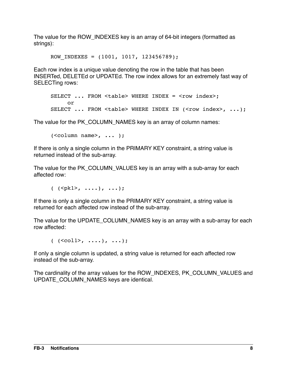The value for the ROW\_INDEXES key is an array of 64-bit integers (formatted as strings):

ROW INDEXES =  $(1001, 1017, 123456789)$ ;

Each row index is a unique value denoting the row in the table that has been INSERTed, DELETEd or UPDATEd. The row index allows for an extremely fast way of SELECTing rows:

```
SELECT ... FROM <table> WHERE INDEX = <row index>;
    or
SELECT ... FROM <table> WHERE INDEX IN (<row index>, ...);
```
The value for the PK COLUMN NAMES key is an array of column names:

 $(**column name**), ...$  );

If there is only a single column in the PRIMARY KEY constraint, a string value is returned instead of the sub-array.

The value for the PK COLUMN VALUES key is an array with a sub-array for each affected row:

( (<pk1>, ....), ...);

If there is only a single column in the PRIMARY KEY constraint, a string value is returned for each affected row instead of the sub-array.

The value for the UPDATE\_COLUMN\_NAMES key is an array with a sub-array for each row affected:

 $($  (<coll>, ....), ...);

If only a single column is updated, a string value is returned for each affected row instead of the sub-array.

The cardinality of the array values for the ROW\_INDEXES, PK\_COLUMN\_VALUES and UPDATE\_COLUMN\_NAMES keys are identical.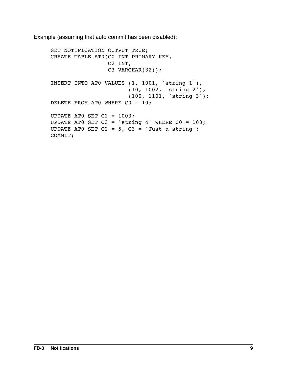Example (assuming that auto commit has been disabled):

```
SET NOTIFICATION OUTPUT TRUE;
CREATE TABLE AT0(C0 INT PRIMARY KEY,
                  C2 INT,
                 C3 VARCHAR(32));
INSERT INTO AT0 VALUES (1, 1001, 'string 1'),
                        (10, 1002, 'string 2'),
                        (100, 1101, 'string 3');
DELETE FROM ATO WHERE CO = 10;
UPDATE ATO SET C2 = 1003;
UPDATE ATO SET C3 = 'string 4' WHERE C0 = 100;UPDATE ATO SET C2 = 5, C3 = 'Just a string';
COMMIT;
```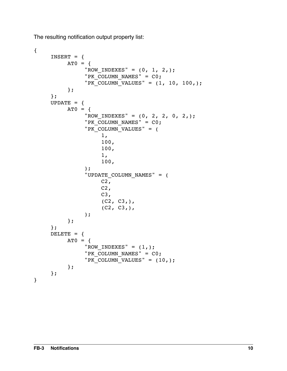The resulting notification output property list:

```
{
     INSERT = {AT0 = f"ROW_INDEXES" = (0, 1, 2,);"PK COLUMN NAMES" = CO;
               "PK_COLUMN_VALUES" = (1, 10, 100);
          };
     };
     UPDATE = \{AT0 = \{"ROW_INDEXES" = (0, 2, 2, 0, 2,);"PK COLUMN NAMES" = CO;
               "PK COLUMN VALUES" = (
                    1,
                    100,
                    100,
                    1,
                    100,
               );
               "UPDATE_COLUMN_NAMES" = (
                    C2,
                    C2,C3,(C2, C3),
                    (C2, C3),
               );
          };
     };
     DELETE = {
          AT0 = f"ROW_INDEXES" = (1,);"PK COLUMN NAMES" = C0;
               "PK COLUMN VALUES" = (10,);};
     };
}
```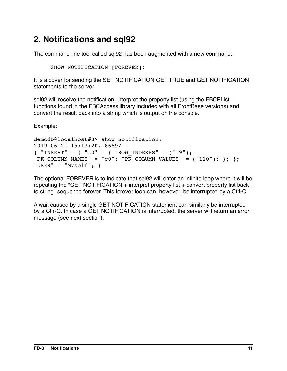## <span id="page-10-0"></span>**2. Notifications and sql92**

The command line tool called sql92 has been augmented with a new command:

SHOW NOTIFICATION [FOREVER];

It is a cover for sending the SET NOTIFICATION GET TRUE and GET NOTIFICATION statements to the server.

sql92 will receive the notification, interpret the property list (using the FBCPList functions found in the FBCAccess library included with all FrontBase versions) and convert the result back into a string which is output on the console.

Example:

```
demodb@localhost#3> show notification;
2019-06-21 15:13:20.186892
{\rm \{ "INSERT" = \{ "t0" = \{ "ROW INDEXES" = ("19")}; \} }"PK COLUMN NAMES" = "c0"; "PK_COLUMN_VALUES" = ("110"); }; };
"USER" = "Myself"; }
```
The optional FOREVER is to indicate that sql92 will enter an infinite loop where it will be repeating the "GET NOTIFICATION + interpret property list + convert property list back to string" sequence forever. This forever loop can, however, be interrupted by a Ctrl-C.

A wait caused by a single GET NOTIFICATION statement can similarly be interrupted by a Ctlr-C. In case a GET NOTIFICATION is interrupted, the server will return an error message (see next section).